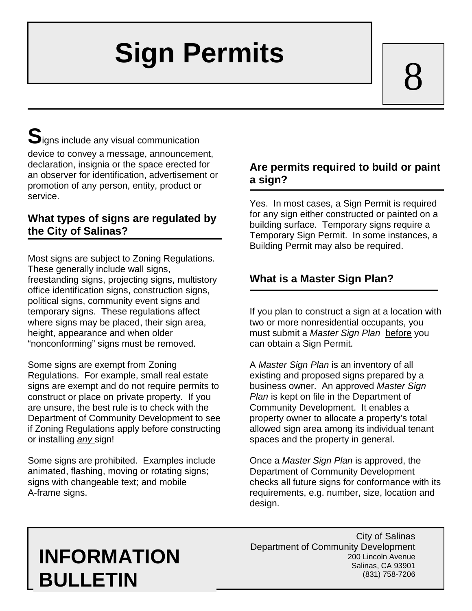# **Sign Permits**

8

 ${\mathbf S}$ igns include any visual communication device to convey a message, announcement, declaration, insignia or the space erected for an observer for identification, advertisement or promotion of any person, entity, product or service.

### **What types of signs are regulated by the City of Salinas?**

Most signs are subject to Zoning Regulations. These generally include wall signs, freestanding signs, projecting signs, multistory office identification signs, construction signs, political signs, community event signs and temporary signs. These regulations affect where signs may be placed, their sign area, height, appearance and when older "nonconforming" signs must be removed.

Some signs are exempt from Zoning Regulations. For example, small real estate signs are exempt and do not require permits to construct or place on private property. If you are unsure, the best rule is to check with the Department of Community Development to see if Zoning Regulations apply before constructing or installing *any* sign!

Some signs are prohibited. Examples include animated, flashing, moving or rotating signs; signs with changeable text; and mobile A-frame signs.

# **Are permits required to build or paint a sign?**

Yes. In most cases, a Sign Permit is required for any sign either constructed or painted on a building surface. Temporary signs require a Temporary Sign Permit. In some instances, a Building Permit may also be required.

# **What is a Master Sign Plan?**

If you plan to construct a sign at a location with two or more nonresidential occupants, you must submit a *Master Sign Plan* before you can obtain a Sign Permit.

A *Master Sign Plan* is an inventory of all existing and proposed signs prepared by a business owner. An approved *Master Sign Plan* is kept on file in the Department of Community Development. It enables a property owner to allocate a property's total allowed sign area among its individual tenant spaces and the property in general.

Once a *Master Sign Plan* is approved, the Department of Community Development checks all future signs for conformance with its requirements, e.g. number, size, location and design.

# **INFORMATION BULLETIN**

City of Salinas Department of Community Development 200 Lincoln Avenue Salinas, CA 93901 (831) 758-7206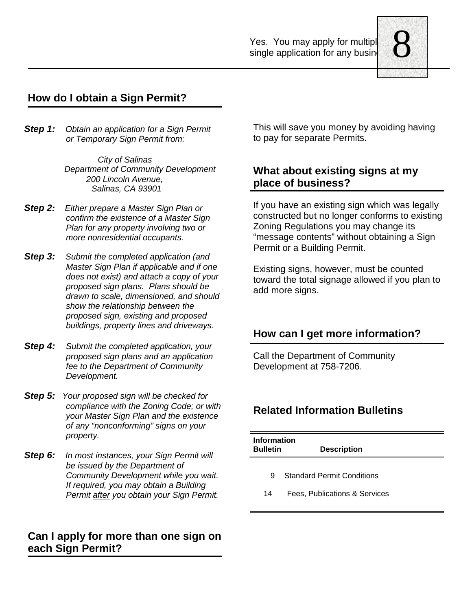Yes. You may apply for multipl single application for any busine



# **How do I obtain a Sign Permit?**

*Step 1: Obtain an application for a Sign Permit or Temporary Sign Permit from:*

> *City of Salinas Department of Community Development 200 Lincoln Avenue, Salinas, CA 93901*

- *Step 2: Either prepare a Master Sign Plan or confirm the existence of a Master Sign Plan for any property involving two or more nonresidential occupants.*
- *Step 3: Submit the completed application (and Master Sign Plan if applicable and if one does not exist) and attach a copy of your proposed sign plans. Plans should be drawn to scale, dimensioned, and should show the relationship between the proposed sign, existing and proposed buildings, property lines and driveways.*
- *Step 4: Submit the completed application, your proposed sign plans and an application fee to the Department of Community Development.*
- *Step 5: Your proposed sign will be checked for compliance with the Zoning Code; or with your Master Sign Plan and the existence of any "nonconforming" signs on your property.*
- *Step 6: In most instances, your Sign Permit will be issued by the Department of Community Development while you wait. If required, you may obtain a Building Permit after you obtain your Sign Permit.*

#### **Can I apply for more than one sign on each Sign Permit?**

This will save you money by avoiding having to pay for separate Permits.

#### **What about existing signs at my place of business?**

If you have an existing sign which was legally constructed but no longer conforms to existing Zoning Regulations you may change its "message contents" without obtaining a Sign Permit or a Building Permit.

Existing signs, however, must be counted toward the total signage allowed if you plan to add more signs.

#### **How can I get more information?**

Call the Department of Community Development at 758-7206.

#### **Related Information Bulletins**

| Information<br><b>Bulletin</b><br><b>Description</b> |                                   |
|------------------------------------------------------|-----------------------------------|
| 9                                                    | <b>Standard Permit Conditions</b> |
| 14                                                   | Fees, Publications & Services     |